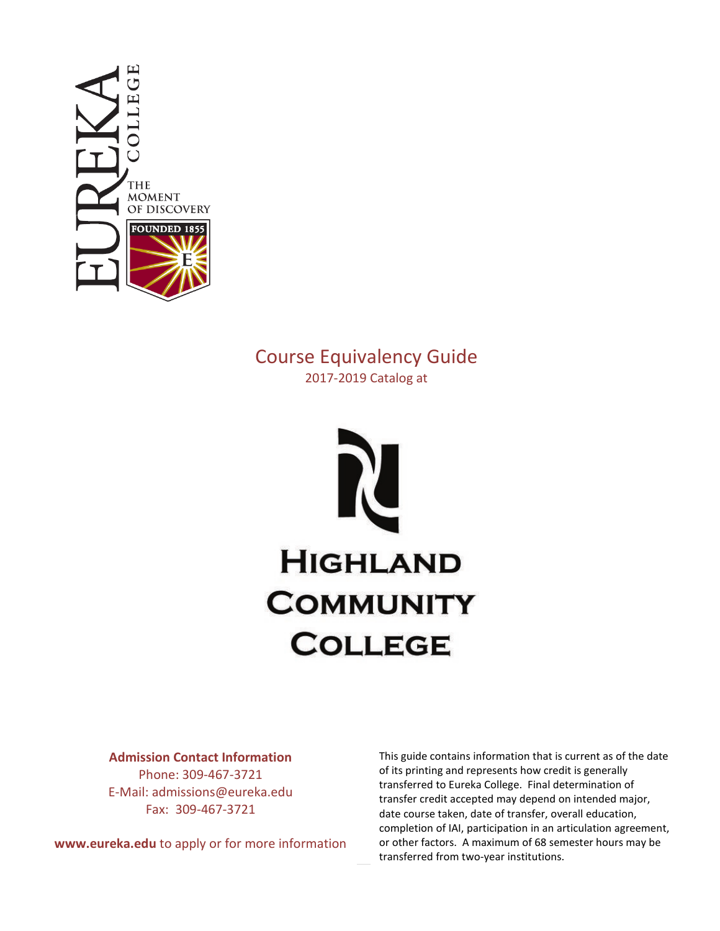

# Course Equivalency Guide 2017-2019 Catalog at



#### **Admission Contact Information**

Phone: 309-467-3721 E-Mail: admissions@eureka.edu Fax: 309-467-3721

**www.eureka.edu** to apply or for more information

This guide contains information that is current as of the date of its printing and represents how credit is generally transferred to Eureka College. Final determination of transfer credit accepted may depend on intended major, date course taken, date of transfer, overall education, completion of IAI, participation in an articulation agreement, or other factors. A maximum of 68 semester hours may be transferred from two-year institutions.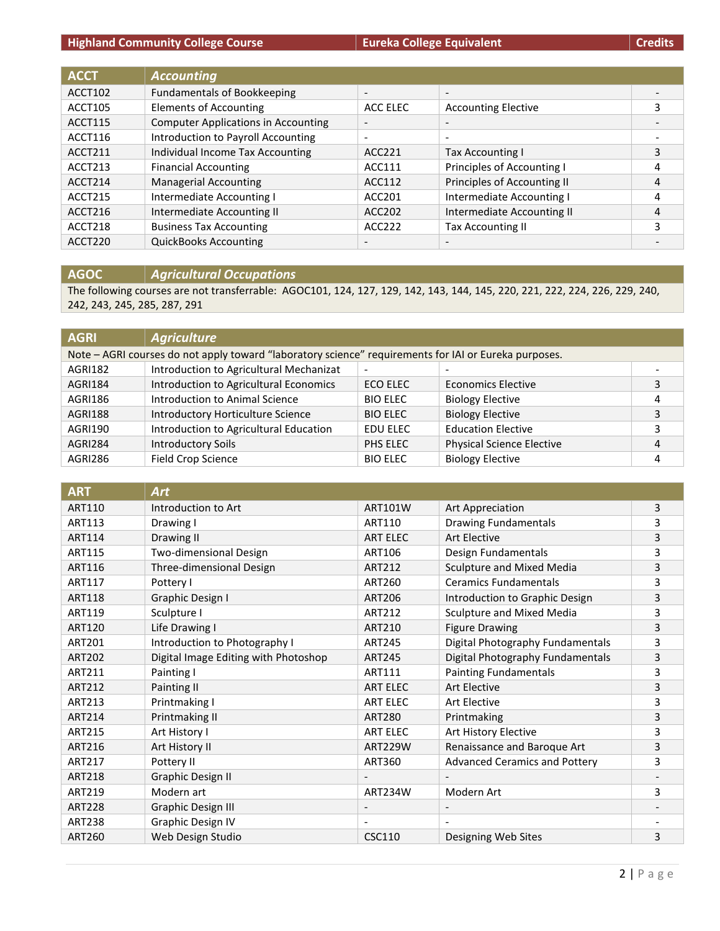## **Highland Community College Course Eureka College Equivalent Eureka College Equivalent Credits**

| <b>ACCT</b> | <b>Accounting</b>                          |                          |                             |   |
|-------------|--------------------------------------------|--------------------------|-----------------------------|---|
| ACCT102     | <b>Fundamentals of Bookkeeping</b>         | $\overline{\phantom{a}}$ |                             |   |
| ACCT105     | <b>Elements of Accounting</b>              | ACC ELEC                 | <b>Accounting Elective</b>  | 3 |
| ACCT115     | <b>Computer Applications in Accounting</b> | $\overline{\phantom{a}}$ |                             |   |
| ACCT116     | Introduction to Payroll Accounting         | $\overline{\phantom{a}}$ |                             |   |
| ACCT211     | Individual Income Tax Accounting           | ACC221                   | <b>Tax Accounting I</b>     | 3 |
| ACCT213     | <b>Financial Accounting</b>                | ACC111                   | Principles of Accounting I  | 4 |
| ACCT214     | <b>Managerial Accounting</b>               | ACC112                   | Principles of Accounting II | 4 |
| ACCT215     | Intermediate Accounting I                  | ACC201                   | Intermediate Accounting I   | 4 |
| ACCT216     | Intermediate Accounting II                 | ACC202                   | Intermediate Accounting II  | 4 |
| ACCT218     | <b>Business Tax Accounting</b>             | ACC222                   | <b>Tax Accounting II</b>    | 3 |
| ACCT220     | <b>QuickBooks Accounting</b>               | $\overline{\phantom{a}}$ |                             |   |

**AGOC** *Agricultural Occupations*

The following courses are not transferrable: AGOC101, 124, 127, 129, 142, 143, 144, 145, 220, 221, 222, 224, 226, 229, 240, 242, 243, 245, 285, 287, 291

| <b>AGRI</b>    | <b>Agriculture</b>                                                                                    |                 |                                  |   |
|----------------|-------------------------------------------------------------------------------------------------------|-----------------|----------------------------------|---|
|                | Note - AGRI courses do not apply toward "laboratory science" requirements for IAI or Eureka purposes. |                 |                                  |   |
| <b>AGRI182</b> | Introduction to Agricultural Mechanizat                                                               |                 |                                  |   |
| AGRI184        | Introduction to Agricultural Economics                                                                | ECO ELEC        | Economics Elective               | 3 |
| AGRI186        | Introduction to Animal Science                                                                        | <b>BIO ELEC</b> | <b>Biology Elective</b>          | 4 |
| <b>AGRI188</b> | Introductory Horticulture Science                                                                     | <b>BIO ELEC</b> | <b>Biology Elective</b>          | 3 |
| AGRI190        | Introduction to Agricultural Education                                                                | EDU ELEC        | <b>Education Elective</b>        | 3 |
| AGRI284        | <b>Introductory Soils</b>                                                                             | PHS ELEC        | <b>Physical Science Elective</b> | 4 |
| AGRI286        | <b>Field Crop Science</b>                                                                             | <b>BIO ELEC</b> | <b>Biology Elective</b>          | 4 |

| <b>ART</b>    | Art                                  |                          |                                      |   |
|---------------|--------------------------------------|--------------------------|--------------------------------------|---|
| <b>ART110</b> | Introduction to Art                  | <b>ART101W</b>           | Art Appreciation                     | 3 |
| <b>ART113</b> | Drawing I                            | ART110                   | <b>Drawing Fundamentals</b>          | 3 |
| <b>ART114</b> | Drawing II                           | <b>ART ELEC</b>          | Art Elective                         | 3 |
| <b>ART115</b> | Two-dimensional Design               | ART106                   | Design Fundamentals                  | 3 |
| ART116        | Three-dimensional Design             | <b>ART212</b>            | Sculpture and Mixed Media            | 3 |
| <b>ART117</b> | Pottery I                            | <b>ART260</b>            | <b>Ceramics Fundamentals</b>         | 3 |
| <b>ART118</b> | Graphic Design I                     | <b>ART206</b>            | Introduction to Graphic Design       | 3 |
| ART119        | Sculpture I                          | ART212                   | Sculpture and Mixed Media            | 3 |
| <b>ART120</b> | Life Drawing I                       | ART210                   | <b>Figure Drawing</b>                | 3 |
| <b>ART201</b> | Introduction to Photography I        | <b>ART245</b>            | Digital Photography Fundamentals     | 3 |
| <b>ART202</b> | Digital Image Editing with Photoshop | <b>ART245</b>            | Digital Photography Fundamentals     | 3 |
| ART211        | Painting I                           | ART111                   | <b>Painting Fundamentals</b>         | 3 |
| <b>ART212</b> | Painting II                          | <b>ART ELEC</b>          | Art Elective                         | 3 |
| ART213        | Printmaking I                        | <b>ART ELEC</b>          | Art Elective                         | 3 |
| <b>ART214</b> | Printmaking II                       | <b>ART280</b>            | Printmaking                          | 3 |
| <b>ART215</b> | Art History I                        | <b>ART ELEC</b>          | Art History Elective                 | 3 |
| ART216        | Art History II                       | <b>ART229W</b>           | Renaissance and Baroque Art          | 3 |
| ART217        | Pottery II                           | <b>ART360</b>            | <b>Advanced Ceramics and Pottery</b> | 3 |
| <b>ART218</b> | <b>Graphic Design II</b>             |                          |                                      |   |
| ART219        | Modern art                           | ART234W                  | Modern Art                           | 3 |
| <b>ART228</b> | <b>Graphic Design III</b>            | $\overline{\phantom{a}}$ |                                      |   |
| <b>ART238</b> | <b>Graphic Design IV</b>             |                          |                                      |   |
| <b>ART260</b> | Web Design Studio                    | <b>CSC110</b>            | Designing Web Sites                  | 3 |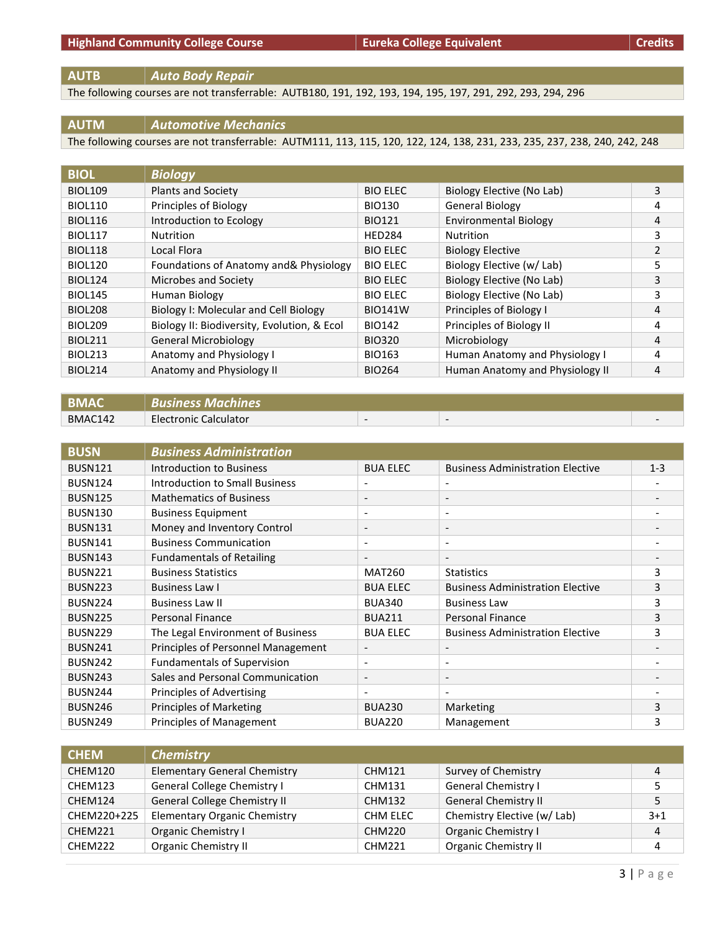**AUTB** *Auto Body Repair*

The following courses are not transferrable: AUTB180, 191, 192, 193, 194, 195, 197, 291, 292, 293, 294, 296

#### **AUTM** *Automotive Mechanics*

The following courses are not transferrable: AUTM111, 113, 115, 120, 122, 124, 138, 231, 233, 235, 237, 238, 240, 242, 248

| <b>BIOL</b>    | <b>Biology</b>                              |                 |                                 |                |
|----------------|---------------------------------------------|-----------------|---------------------------------|----------------|
| <b>BIOL109</b> | <b>Plants and Society</b>                   | <b>BIO ELEC</b> | Biology Elective (No Lab)       | 3              |
| <b>BIOL110</b> | Principles of Biology                       | <b>BIO130</b>   | <b>General Biology</b>          | 4              |
| <b>BIOL116</b> | Introduction to Ecology                     | <b>BIO121</b>   | <b>Environmental Biology</b>    | 4              |
| <b>BIOL117</b> | <b>Nutrition</b>                            | <b>HED284</b>   | <b>Nutrition</b>                | 3              |
| <b>BIOL118</b> | Local Flora                                 | <b>BIO ELEC</b> | <b>Biology Elective</b>         | $\overline{2}$ |
| <b>BIOL120</b> | Foundations of Anatomy and & Physiology     | <b>BIO ELEC</b> | Biology Elective (w/ Lab)       | 5              |
| <b>BIOL124</b> | Microbes and Society                        | <b>BIO ELEC</b> | Biology Elective (No Lab)       | 3              |
| <b>BIOL145</b> | Human Biology                               | <b>BIO ELEC</b> | Biology Elective (No Lab)       | 3              |
| <b>BIOL208</b> | Biology I: Molecular and Cell Biology       | <b>BIO141W</b>  | Principles of Biology I         | 4              |
| <b>BIOL209</b> | Biology II: Biodiversity, Evolution, & Ecol | <b>BIO142</b>   | Principles of Biology II        | 4              |
| <b>BIOL211</b> | <b>General Microbiology</b>                 | <b>BIO320</b>   | Microbiology                    | 4              |
| <b>BIOL213</b> | Anatomy and Physiology I                    | <b>BIO163</b>   | Human Anatomy and Physiology I  | 4              |
| <b>BIOL214</b> | Anatomy and Physiology II                   | <b>BIO264</b>   | Human Anatomy and Physiology II | 4              |

| <b>BMAC</b> | <b>Business Machines</b> |  |  |
|-------------|--------------------------|--|--|
| BMAC142     | Electronic Calculator    |  |  |

| <b>BUSN</b>    | <b>Business Administration</b>     |                          |                                         |                              |
|----------------|------------------------------------|--------------------------|-----------------------------------------|------------------------------|
| <b>BUSN121</b> | <b>Introduction to Business</b>    | <b>BUA ELEC</b>          | <b>Business Administration Elective</b> | $1 - 3$                      |
| <b>BUSN124</b> | Introduction to Small Business     | $\overline{\phantom{a}}$ |                                         |                              |
| <b>BUSN125</b> | <b>Mathematics of Business</b>     | $\overline{\phantom{a}}$ | $\overline{\phantom{a}}$                | $\qquad \qquad \blacksquare$ |
| <b>BUSN130</b> | <b>Business Equipment</b>          | $\overline{\phantom{a}}$ | $\overline{\phantom{a}}$                |                              |
| <b>BUSN131</b> | Money and Inventory Control        | $\overline{\phantom{a}}$ | $\overline{\phantom{a}}$                |                              |
| <b>BUSN141</b> | <b>Business Communication</b>      | $\overline{\phantom{a}}$ | $\overline{\phantom{a}}$                |                              |
| <b>BUSN143</b> | <b>Fundamentals of Retailing</b>   | $\overline{\phantom{a}}$ | $\overline{\phantom{a}}$                |                              |
| <b>BUSN221</b> | <b>Business Statistics</b>         | <b>MAT260</b>            | <b>Statistics</b>                       | 3                            |
| <b>BUSN223</b> | Business Law I                     | <b>BUA ELEC</b>          | <b>Business Administration Elective</b> | 3                            |
| <b>BUSN224</b> | <b>Business Law II</b>             | <b>BUA340</b>            | <b>Business Law</b>                     | 3                            |
| <b>BUSN225</b> | <b>Personal Finance</b>            | <b>BUA211</b>            | Personal Finance                        | 3                            |
| <b>BUSN229</b> | The Legal Environment of Business  | <b>BUA ELEC</b>          | <b>Business Administration Elective</b> | 3                            |
| <b>BUSN241</b> | Principles of Personnel Management | $\overline{\phantom{a}}$ |                                         |                              |
| <b>BUSN242</b> | <b>Fundamentals of Supervision</b> | $\overline{\phantom{a}}$ | $\overline{\phantom{0}}$                |                              |
| <b>BUSN243</b> | Sales and Personal Communication   | $\overline{\phantom{a}}$ | $\overline{\phantom{a}}$                |                              |
| <b>BUSN244</b> | Principles of Advertising          | $\overline{\phantom{a}}$ | $\overline{\phantom{0}}$                |                              |
| <b>BUSN246</b> | <b>Principles of Marketing</b>     | <b>BUA230</b>            | Marketing                               | 3                            |
| <b>BUSN249</b> | Principles of Management           | <b>BUA220</b>            | Management                              | 3                            |

| <b>CHEM</b> | <b>Chemistry</b>                    |               |                             |       |
|-------------|-------------------------------------|---------------|-----------------------------|-------|
| CHEM120     | <b>Elementary General Chemistry</b> | CHM121        | Survey of Chemistry         |       |
| CHEM123     | General College Chemistry I         | CHM131        | <b>General Chemistry I</b>  |       |
| CHEM124     | General College Chemistry II        | <b>CHM132</b> | <b>General Chemistry II</b> |       |
| CHEM220+225 | <b>Elementary Organic Chemistry</b> | CHM ELEC      | Chemistry Elective (w/ Lab) | $3+1$ |
| CHEM221     | Organic Chemistry I                 | <b>CHM220</b> | <b>Organic Chemistry I</b>  | 4     |
| CHEM222     | <b>Organic Chemistry II</b>         | <b>CHM221</b> | <b>Organic Chemistry II</b> |       |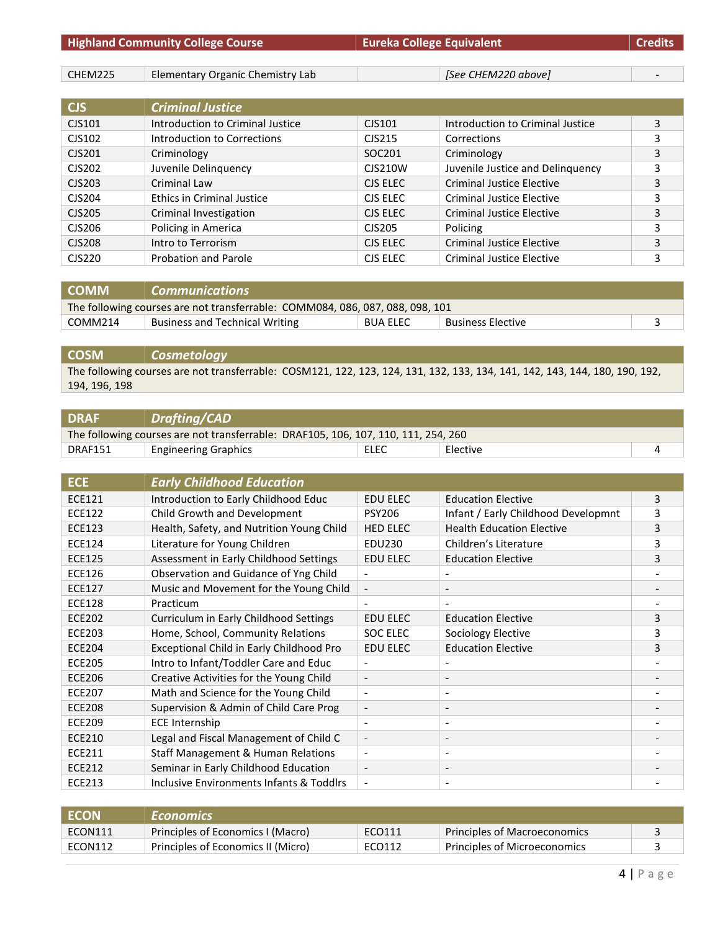| <b>Highland Community College Course</b> |                                  | <b>Eureka College Equivalent</b> |                                  | <b>Credits</b> |
|------------------------------------------|----------------------------------|----------------------------------|----------------------------------|----------------|
|                                          |                                  |                                  |                                  |                |
| CHEM225                                  | Elementary Organic Chemistry Lab |                                  | [See CHEM220 above]              |                |
|                                          |                                  |                                  |                                  |                |
| <b>CJS</b>                               | <b>Criminal Justice</b>          |                                  |                                  |                |
| CJS101                                   | Introduction to Criminal Justice | CJS101                           | Introduction to Criminal Justice | 3              |
| CJS102                                   | Introduction to Corrections      | CJS215                           | Corrections                      | 3              |
| CJS201                                   | Criminology                      | SOC <sub>201</sub>               | Criminology                      | 3              |
| CJS202                                   | Juvenile Delinquency             | CJS210W                          | Juvenile Justice and Delinquency | 3              |
| CJS203                                   | Criminal Law                     | CJS ELEC                         | Criminal Justice Elective        | 3              |
| CJS204                                   | Ethics in Criminal Justice       | CJS ELEC                         | Criminal Justice Elective        | 3              |
| CJS205                                   | Criminal Investigation           | CJS ELEC                         | Criminal Justice Elective        | 3              |
| CJS206                                   | Policing in America              | CJS205                           | Policing                         | 3              |
| <b>CJS208</b>                            | Intro to Terrorism               | CJS ELEC                         | <b>Criminal Justice Elective</b> | 3              |
| <b>CJS220</b>                            | Probation and Parole             | CJS ELEC                         | <b>Criminal Justice Elective</b> | 3              |

| <b>COMM</b>                                                                   | Communications                        |                 |                   |  |
|-------------------------------------------------------------------------------|---------------------------------------|-----------------|-------------------|--|
| The following courses are not transferrable: COMM084, 086, 087, 088, 098, 101 |                                       |                 |                   |  |
| COMM214                                                                       | <b>Business and Technical Writing</b> | <b>BUA ELEC</b> | Business Elective |  |

# **COSM** *Cosmetology*

The following courses are not transferrable: COSM121, 122, 123, 124, 131, 132, 133, 134, 141, 142, 143, 144, 180, 190, 192, 194, 196, 198

| Drafting/CAD                                                                       |      |          |  |
|------------------------------------------------------------------------------------|------|----------|--|
| The following courses are not transferrable: DRAF105, 106, 107, 110, 111, 254, 260 |      |          |  |
| <b>Engineering Graphics</b>                                                        | ELEC | Elective |  |
|                                                                                    |      |          |  |

| <b>ECE</b>    | <b>Early Childhood Education</b>              |                          |                                     |   |
|---------------|-----------------------------------------------|--------------------------|-------------------------------------|---|
| <b>ECE121</b> | Introduction to Early Childhood Educ          | <b>EDU ELEC</b>          | <b>Education Elective</b>           | 3 |
| <b>ECE122</b> | Child Growth and Development                  | <b>PSY206</b>            | Infant / Early Childhood Developmnt | 3 |
| <b>ECE123</b> | Health, Safety, and Nutrition Young Child     | <b>HED ELEC</b>          | <b>Health Education Elective</b>    | 3 |
| <b>ECE124</b> | Literature for Young Children                 | EDU230                   | Children's Literature               | 3 |
| <b>ECE125</b> | Assessment in Early Childhood Settings        | <b>EDU ELEC</b>          | <b>Education Elective</b>           | 3 |
| <b>ECE126</b> | Observation and Guidance of Yng Child         |                          |                                     |   |
| <b>ECE127</b> | Music and Movement for the Young Child        | $\overline{\phantom{a}}$ |                                     |   |
| <b>ECE128</b> | Practicum                                     |                          |                                     |   |
| <b>ECE202</b> | Curriculum in Early Childhood Settings        | <b>EDU ELEC</b>          | <b>Education Elective</b>           | 3 |
| <b>ECE203</b> | Home, School, Community Relations             | <b>SOC ELEC</b>          | Sociology Elective                  | 3 |
| <b>ECE204</b> | Exceptional Child in Early Childhood Pro      | <b>EDU ELEC</b>          | <b>Education Elective</b>           | 3 |
| <b>ECE205</b> | Intro to Infant/Toddler Care and Educ         |                          |                                     |   |
| <b>ECE206</b> | Creative Activities for the Young Child       | $\overline{\phantom{a}}$ | $\overline{\phantom{a}}$            |   |
| <b>ECE207</b> | Math and Science for the Young Child          | $\overline{\phantom{a}}$ | $\overline{\phantom{a}}$            |   |
| <b>ECE208</b> | Supervision & Admin of Child Care Prog        | $\overline{\phantom{a}}$ | $\overline{\phantom{a}}$            |   |
| <b>ECE209</b> | <b>ECE Internship</b>                         |                          | $\qquad \qquad \blacksquare$        |   |
| <b>ECE210</b> | Legal and Fiscal Management of Child C        | $\overline{\phantom{a}}$ | $\overline{\phantom{a}}$            |   |
| <b>ECE211</b> | <b>Staff Management &amp; Human Relations</b> | $\overline{\phantom{a}}$ | $\overline{\phantom{a}}$            |   |
| ECE212        | Seminar in Early Childhood Education          | $\overline{\phantom{a}}$ | $\overline{\phantom{a}}$            |   |
| <b>ECE213</b> | Inclusive Environments Infants & Toddlrs      | $\overline{\phantom{a}}$ |                                     |   |

| <b>ECON</b> | <b>Economics</b>                   |        |                              |  |
|-------------|------------------------------------|--------|------------------------------|--|
| ECON111     | Principles of Economics I (Macro)  | ECO111 | Principles of Macroeconomics |  |
| ECON112     | Principles of Economics II (Micro) | ECO112 | Principles of Microeconomics |  |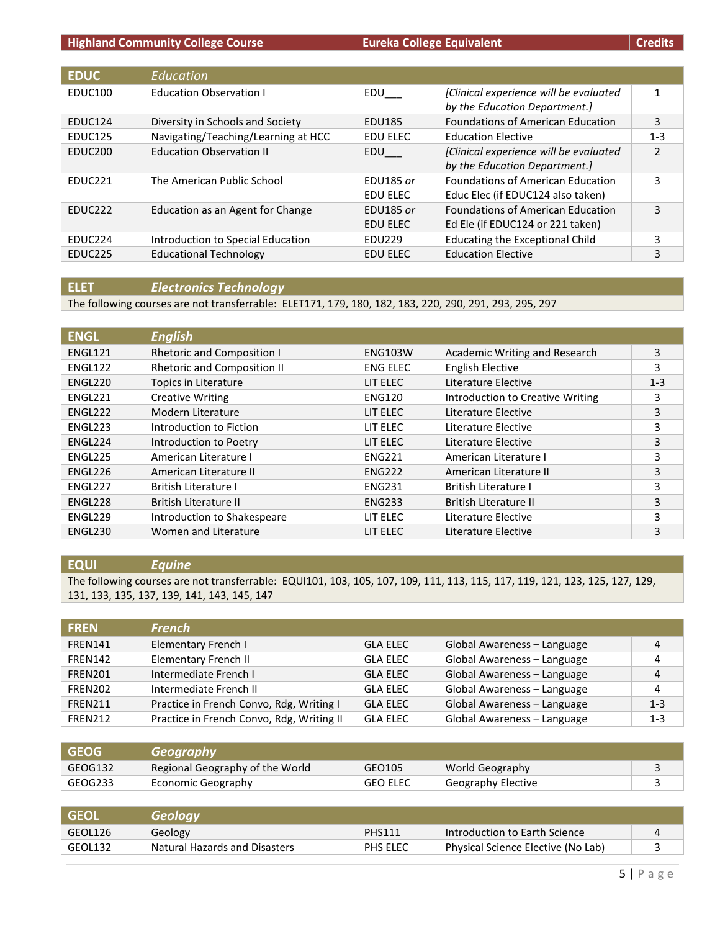| <b>EDUC</b>         | Education                           |                  |                                          |                |
|---------------------|-------------------------------------|------------------|------------------------------------------|----------------|
| EDUC100             | <b>Education Observation I</b>      | EDU              | [Clinical experience will be evaluated   | 1              |
|                     |                                     |                  | by the Education Department.]            |                |
| EDUC124             | Diversity in Schools and Society    | EDU185           | <b>Foundations of American Education</b> | 3              |
| EDUC125             | Navigating/Teaching/Learning at HCC | <b>EDU ELEC</b>  | <b>Education Elective</b>                | $1 - 3$        |
| EDUC <sub>200</sub> | <b>Education Observation II</b>     | EDU              | [Clinical experience will be evaluated   | $\overline{2}$ |
|                     |                                     |                  | by the Education Department.]            |                |
| FDUC <sub>221</sub> | The American Public School          | <b>EDU185 or</b> | <b>Foundations of American Education</b> | 3              |
|                     |                                     | EDU ELEC         | Educ Elec (if EDUC124 also taken)        |                |
| EDUC <sub>222</sub> | Education as an Agent for Change    | <b>EDU185 or</b> | <b>Foundations of American Education</b> | 3              |
|                     |                                     | <b>EDU ELEC</b>  | Ed Ele (if EDUC124 or 221 taken)         |                |
| EDUC <sub>224</sub> | Introduction to Special Education   | EDU229           | <b>Educating the Exceptional Child</b>   | 3              |
| EDUC <sub>225</sub> | <b>Educational Technology</b>       | <b>EDU ELEC</b>  | <b>Education Elective</b>                | 3              |

#### **ELET** *Electronics Technology*

The following courses are not transferrable: ELET171, 179, 180, 182, 183, 220, 290, 291, 293, 295, 297

| <b>ENGL</b> | <b>English</b>                     |                 |                                  |         |
|-------------|------------------------------------|-----------------|----------------------------------|---------|
| ENGL121     | <b>Rhetoric and Composition I</b>  | <b>ENG103W</b>  | Academic Writing and Research    | 3       |
| ENGL122     | <b>Rhetoric and Composition II</b> | <b>ENG ELEC</b> | <b>English Elective</b>          | 3       |
| ENGL220     | Topics in Literature               | LIT ELEC        | Literature Elective              | $1 - 3$ |
| ENGL221     | <b>Creative Writing</b>            | <b>ENG120</b>   | Introduction to Creative Writing | 3       |
| ENGL222     | Modern Literature                  | LIT ELEC        | Literature Elective              | 3       |
| ENGL223     | Introduction to Fiction            | LIT ELEC        | Literature Elective              | 3       |
| ENGL224     | Introduction to Poetry             | LIT ELEC        | Literature Elective              | 3       |
| ENGL225     | American Literature I              | <b>ENG221</b>   | American Literature I            | 3       |
| ENGL226     | American Literature II             | <b>ENG222</b>   | American Literature II           | 3       |
| ENGL227     | <b>British Literature I</b>        | <b>ENG231</b>   | <b>British Literature I</b>      | 3       |
| ENGL228     | <b>British Literature II</b>       | <b>ENG233</b>   | British Literature II            | 3       |
| ENGL229     | Introduction to Shakespeare        | LIT ELEC        | Literature Elective              | 3       |
| ENGL230     | Women and Literature               | LIT ELEC        | Literature Elective              | 3       |

#### **EQUI** *Equine*

The following courses are not transferrable: EQUI101, 103, 105, 107, 109, 111, 113, 115, 117, 119, 121, 123, 125, 127, 129, 131, 133, 135, 137, 139, 141, 143, 145, 147

| <b>FREN</b>    | <b>French</b>                             |                 |                             |         |
|----------------|-------------------------------------------|-----------------|-----------------------------|---------|
| <b>FREN141</b> | <b>Elementary French I</b>                | <b>GLA ELEC</b> | Global Awareness - Language | 4       |
| <b>FREN142</b> | <b>Elementary French II</b>               | <b>GLA ELEC</b> | Global Awareness - Language | 4       |
| FREN201        | Intermediate French I                     | <b>GLA ELEC</b> | Global Awareness - Language | 4       |
| <b>FREN202</b> | Intermediate French II                    | <b>GLA ELEC</b> | Global Awareness - Language | 4       |
| <b>FREN211</b> | Practice in French Convo, Rdg, Writing I  | <b>GLA ELEC</b> | Global Awareness - Language | $1 - 3$ |
| <b>FREN212</b> | Practice in French Convo, Rdg, Writing II | <b>GLA ELEC</b> | Global Awareness - Language | $1 - 3$ |

| <b>GEOG</b> | l Geography I                   |                 |                    |  |
|-------------|---------------------------------|-----------------|--------------------|--|
| GEOG132     | Regional Geography of the World | GEO105          | World Geography    |  |
| GEOG233     | Economic Geography              | <b>GEO ELEC</b> | Geography Elective |  |

| <b>GFOI</b> | Geoloav                              |               |                                    |  |
|-------------|--------------------------------------|---------------|------------------------------------|--|
| GEOL126     | Geology                              | <b>PHS111</b> | Introduction to Earth Science      |  |
| GEOL132     | <b>Natural Hazards and Disasters</b> | PHS ELEC      | Physical Science Elective (No Lab) |  |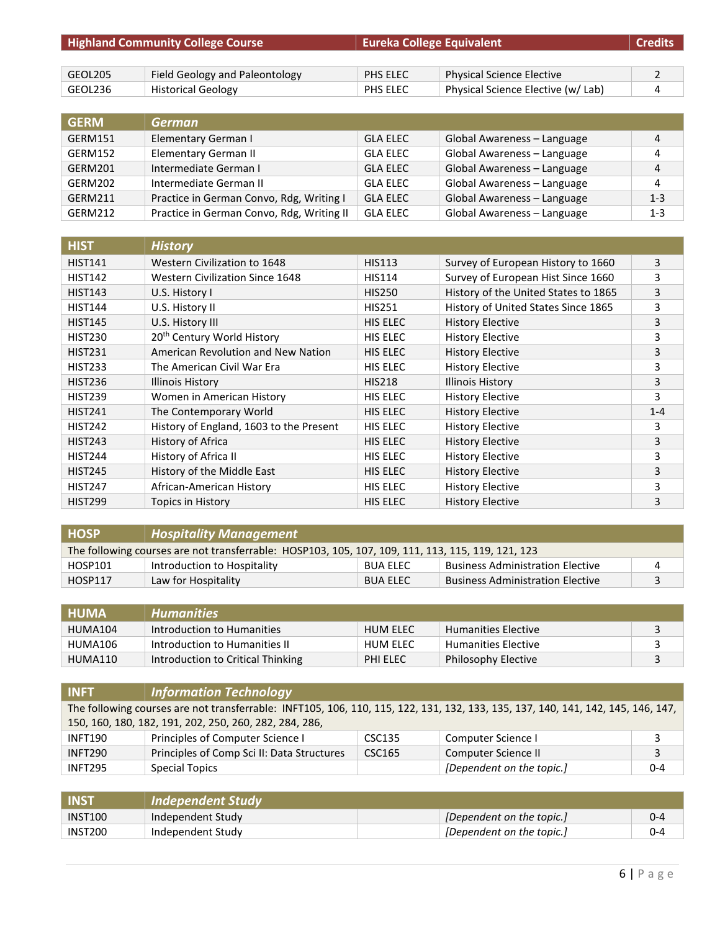| <b>Highland Community College Course</b> |                                | <b>Eureka College Equivalent</b> |                                    | <b>Credits</b> |
|------------------------------------------|--------------------------------|----------------------------------|------------------------------------|----------------|
|                                          |                                |                                  |                                    |                |
| GEOL205                                  | Field Geology and Paleontology | PHS ELEC                         | Physical Science Elective          |                |
| GEOL236                                  | <b>Historical Geology</b>      | PHS ELEC                         | Physical Science Elective (w/ Lab) | 4              |

| <b>GERM</b> | <b>German</b>                             |                 |                             |                |
|-------------|-------------------------------------------|-----------------|-----------------------------|----------------|
| GERM151     | Elementary German I                       | <b>GLA ELEC</b> | Global Awareness - Language | $\overline{4}$ |
| GERM152     | Elementary German II                      | <b>GLA ELEC</b> | Global Awareness - Language | 4              |
| GERM201     | Intermediate German I                     | <b>GLA ELEC</b> | Global Awareness - Language | $\overline{4}$ |
| GERM202     | Intermediate German II                    | <b>GLA ELEC</b> | Global Awareness - Language | 4              |
| GERM211     | Practice in German Convo, Rdg, Writing I  | <b>GLA ELEC</b> | Global Awareness - Language | $1 - 3$        |
| GERM212     | Practice in German Convo, Rdg, Writing II | <b>GLA ELEC</b> | Global Awareness - Language | $1 - 3$        |

| <b>HIST</b>    | <b>History</b>                          |                 |                                      |         |
|----------------|-----------------------------------------|-----------------|--------------------------------------|---------|
| <b>HIST141</b> | Western Civilization to 1648            | <b>HIS113</b>   | Survey of European History to 1660   | 3       |
| <b>HIST142</b> | <b>Western Civilization Since 1648</b>  | <b>HIS114</b>   | Survey of European Hist Since 1660   | 3       |
| <b>HIST143</b> | U.S. History I                          | <b>HIS250</b>   | History of the United States to 1865 | 3       |
| <b>HIST144</b> | U.S. History II                         | <b>HIS251</b>   | History of United States Since 1865  | 3       |
| <b>HIST145</b> | U.S. History III                        | HIS ELEC        | <b>History Elective</b>              | 3       |
| <b>HIST230</b> | 20 <sup>th</sup> Century World History  | <b>HIS ELEC</b> | <b>History Elective</b>              | 3       |
| <b>HIST231</b> | American Revolution and New Nation      | HIS ELEC        | <b>History Elective</b>              | 3       |
| <b>HIST233</b> | The American Civil War Era              | <b>HIS ELEC</b> | <b>History Elective</b>              | 3       |
| <b>HIST236</b> | Illinois History                        | <b>HIS218</b>   | <b>Illinois History</b>              | 3       |
| <b>HIST239</b> | Women in American History               | HIS ELEC        | <b>History Elective</b>              | 3       |
| <b>HIST241</b> | The Contemporary World                  | <b>HIS ELEC</b> | <b>History Elective</b>              | $1 - 4$ |
| <b>HIST242</b> | History of England, 1603 to the Present | <b>HIS ELEC</b> | <b>History Elective</b>              | 3       |
| <b>HIST243</b> | History of Africa                       | <b>HIS ELEC</b> | <b>History Elective</b>              | 3       |
| <b>HIST244</b> | History of Africa II                    | <b>HIS ELEC</b> | <b>History Elective</b>              | 3       |
| <b>HIST245</b> | History of the Middle East              | <b>HIS ELEC</b> | <b>History Elective</b>              | 3       |
| <b>HIST247</b> | African-American History                | <b>HIS ELEC</b> | <b>History Elective</b>              | 3       |
| <b>HIST299</b> | Topics in History                       | <b>HIS ELEC</b> | <b>History Elective</b>              | 3       |

| <b>HOSP</b>                                                                                       | <b>Hospitality Management</b> |                 |                                         |   |
|---------------------------------------------------------------------------------------------------|-------------------------------|-----------------|-----------------------------------------|---|
| The following courses are not transferrable: HOSP103, 105, 107, 109, 111, 113, 115, 119, 121, 123 |                               |                 |                                         |   |
| HOSP101                                                                                           | Introduction to Hospitality   | <b>BUA ELEC</b> | <b>Business Administration Elective</b> |   |
| <b>HOSP117</b>                                                                                    | Law for Hospitality           | <b>BUA ELEC</b> | <b>Business Administration Elective</b> | ₹ |

| <b>HUMA</b> | <b>Humanities</b>                 |                 |                            |  |
|-------------|-----------------------------------|-----------------|----------------------------|--|
| HUMA104     | Introduction to Humanities        | <b>HUM ELEC</b> | <b>Humanities Elective</b> |  |
| HUMA106     | Introduction to Humanities II     | <b>HUM ELEC</b> | <b>Humanities Elective</b> |  |
| HUMA110     | Introduction to Critical Thinking | PHI ELEC        | Philosophy Elective        |  |

| <b>INFT</b>                                                                                                                      | Information Technology                                 |               |                           |         |
|----------------------------------------------------------------------------------------------------------------------------------|--------------------------------------------------------|---------------|---------------------------|---------|
| The following courses are not transferrable: INFT105, 106, 110, 115, 122, 131, 132, 133, 135, 137, 140, 141, 142, 145, 146, 147, |                                                        |               |                           |         |
|                                                                                                                                  | 150, 160, 180, 182, 191, 202, 250, 260, 282, 284, 286, |               |                           |         |
| <b>INFT190</b>                                                                                                                   | Principles of Computer Science I                       | CSC135        | Computer Science I        |         |
| <b>INFT290</b>                                                                                                                   | Principles of Comp Sci II: Data Structures             | <b>CSC165</b> | Computer Science II       |         |
| INFT295                                                                                                                          | <b>Special Topics</b>                                  |               | [Dependent on the topic.] | $0 - 4$ |

| <b>INST</b> | <b>Independent Study</b> |                           |     |
|-------------|--------------------------|---------------------------|-----|
| INST100     | Independent Study        | [Dependent on the topic.] | 0-4 |
| INST200     | Independent Study        | [Dependent on the topic.] | 0-4 |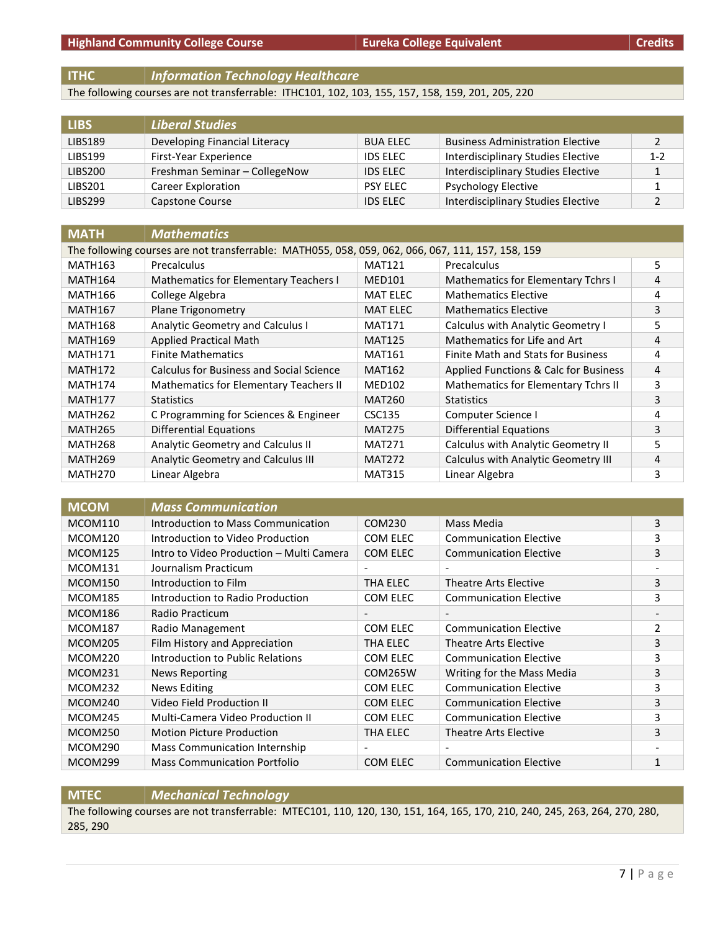**ITHC** *Information Technology Healthcare*

The following courses are not transferrable: ITHC101, 102, 103, 155, 157, 158, 159, 201, 205, 220

| <b>LIBS</b>    | <b>Liberal Studies</b>        |                 |                                         |         |
|----------------|-------------------------------|-----------------|-----------------------------------------|---------|
| LIBS189        | Developing Financial Literacy | <b>BUA ELEC</b> | <b>Business Administration Elective</b> | 2       |
| <b>LIBS199</b> | First-Year Experience         | <b>IDS ELEC</b> | Interdisciplinary Studies Elective      | $1 - 2$ |
| LIBS200        | Freshman Seminar - CollegeNow | <b>IDS ELEC</b> | Interdisciplinary Studies Elective      |         |
| LIBS201        | Career Exploration            | <b>PSY ELEC</b> | <b>Psychology Elective</b>              |         |
| <b>LIBS299</b> | Capstone Course               | <b>IDS ELEC</b> | Interdisciplinary Studies Elective      |         |

| <b>MATH</b>         | <b>Mathematics</b>                                                                                |                 |                                       |   |  |  |
|---------------------|---------------------------------------------------------------------------------------------------|-----------------|---------------------------------------|---|--|--|
|                     | The following courses are not transferrable: MATH055, 058, 059, 062, 066, 067, 111, 157, 158, 159 |                 |                                       |   |  |  |
| MATH163             | Precalculus                                                                                       | <b>MAT121</b>   | Precalculus                           | 5 |  |  |
| MATH164             | Mathematics for Elementary Teachers I                                                             | <b>MED101</b>   | Mathematics for Elementary Tchrs I    | 4 |  |  |
| <b>MATH166</b>      | College Algebra                                                                                   | <b>MAT ELEC</b> | <b>Mathematics Elective</b>           | 4 |  |  |
| <b>MATH167</b>      | <b>Plane Trigonometry</b>                                                                         | <b>MAT ELEC</b> | <b>Mathematics Elective</b>           | 3 |  |  |
| <b>MATH168</b>      | Analytic Geometry and Calculus I                                                                  | <b>MAT171</b>   | Calculus with Analytic Geometry I     | 5 |  |  |
| <b>MATH169</b>      | <b>Applied Practical Math</b>                                                                     | <b>MAT125</b>   | Mathematics for Life and Art          | 4 |  |  |
| MATH171             | <b>Finite Mathematics</b>                                                                         | <b>MAT161</b>   | Finite Math and Stats for Business    | 4 |  |  |
| <b>MATH172</b>      | Calculus for Business and Social Science                                                          | <b>MAT162</b>   | Applied Functions & Calc for Business | 4 |  |  |
| MATH174             | Mathematics for Elementary Teachers II                                                            | <b>MED102</b>   | Mathematics for Elementary Tchrs II   | 3 |  |  |
| MATH177             | <b>Statistics</b>                                                                                 | <b>MAT260</b>   | <b>Statistics</b>                     | 3 |  |  |
| MATH <sub>262</sub> | C Programming for Sciences & Engineer                                                             | CSC135          | Computer Science I                    | 4 |  |  |
| MATH265             | Differential Equations                                                                            | <b>MAT275</b>   | <b>Differential Equations</b>         | 3 |  |  |
| MATH268             | Analytic Geometry and Calculus II                                                                 | <b>MAT271</b>   | Calculus with Analytic Geometry II    | 5 |  |  |
| <b>MATH269</b>      | Analytic Geometry and Calculus III                                                                | <b>MAT272</b>   | Calculus with Analytic Geometry III   | 4 |  |  |
| <b>MATH270</b>      | Linear Algebra                                                                                    | <b>MAT315</b>   | Linear Algebra                        | 3 |  |  |

| <b>MCOM</b>    | <b>Mass Communication</b>                |                          |                               |   |
|----------------|------------------------------------------|--------------------------|-------------------------------|---|
| MCOM110        | Introduction to Mass Communication       | COM230                   | Mass Media                    | 3 |
| MCOM120        | Introduction to Video Production         | COM ELEC                 | <b>Communication Elective</b> | 3 |
| MCOM125        | Intro to Video Production – Multi Camera | COM ELEC                 | <b>Communication Elective</b> | 3 |
| MCOM131        | Journalism Practicum                     | $\overline{\phantom{a}}$ |                               |   |
| <b>MCOM150</b> | Introduction to Film                     | THA ELEC                 | Theatre Arts Elective         | 3 |
| MCOM185        | Introduction to Radio Production         | COM ELEC                 | <b>Communication Elective</b> | 3 |
| MCOM186        | Radio Practicum                          | $\overline{\phantom{a}}$ |                               |   |
| <b>MCOM187</b> | Radio Management                         | COM ELEC                 | <b>Communication Elective</b> | 2 |
| <b>MCOM205</b> | Film History and Appreciation            | THA ELEC                 | <b>Theatre Arts Elective</b>  | 3 |
| MCOM220        | Introduction to Public Relations         | COM ELEC                 | <b>Communication Elective</b> | 3 |
| MCOM231        | <b>News Reporting</b>                    | <b>COM265W</b>           | Writing for the Mass Media    | 3 |
| MCOM232        | <b>News Editing</b>                      | COM ELEC                 | <b>Communication Elective</b> | 3 |
| MCOM240        | Video Field Production II                | COM ELEC                 | <b>Communication Elective</b> | 3 |
| MCOM245        | <b>Multi-Camera Video Production II</b>  | COM ELEC                 | <b>Communication Elective</b> | 3 |
| MCOM250        | <b>Motion Picture Production</b>         | THA ELEC                 | Theatre Arts Elective         | 3 |
| MCOM290        | Mass Communication Internship            |                          |                               |   |
| MCOM299        | <b>Mass Communication Portfolio</b>      | COM ELEC                 | <b>Communication Elective</b> | 1 |

#### **MTEC** *Mechanical Technology*

The following courses are not transferrable: MTEC101, 110, 120, 130, 151, 164, 165, 170, 210, 240, 245, 263, 264, 270, 280, 285, 290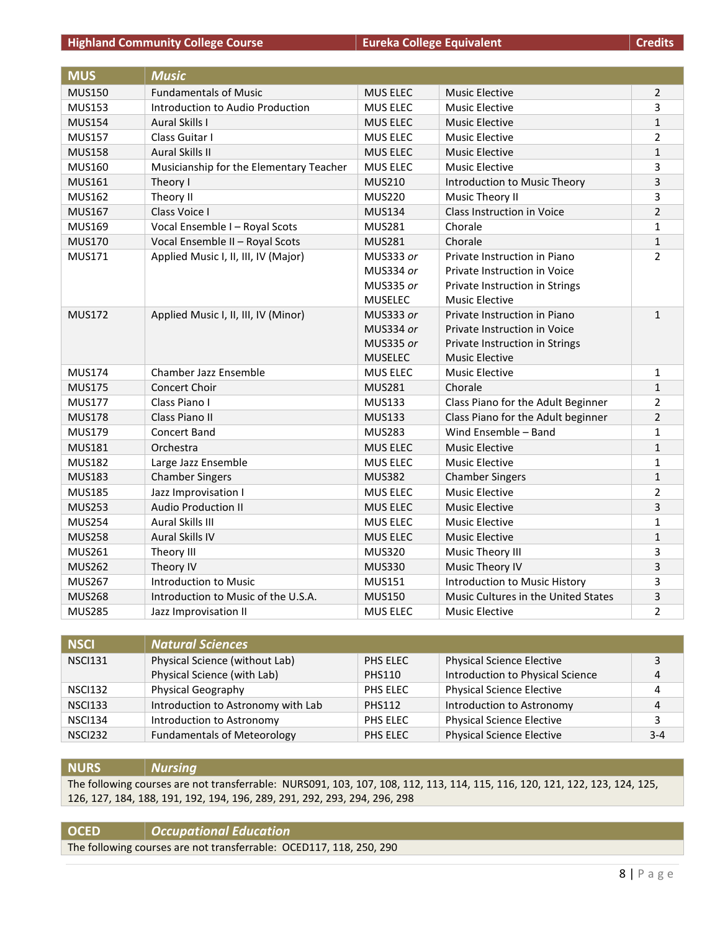#### **Highland Community College Course <b>EURE A** Eureka College Equivalent

| Credits |  |  |
|---------|--|--|
|         |  |  |

| <b>MUS</b>    | <b>Music</b>                            |                  |                                     |                |
|---------------|-----------------------------------------|------------------|-------------------------------------|----------------|
| <b>MUS150</b> | <b>Fundamentals of Music</b>            | <b>MUS ELEC</b>  | <b>Music Elective</b>               | $\overline{2}$ |
| <b>MUS153</b> | Introduction to Audio Production        | MUS ELEC         | <b>Music Elective</b>               | 3              |
| <b>MUS154</b> | <b>Aural Skills I</b>                   | MUS ELEC         | <b>Music Elective</b>               | $\mathbf{1}$   |
| <b>MUS157</b> | Class Guitar I                          | <b>MUS ELEC</b>  | <b>Music Elective</b>               | 2              |
| <b>MUS158</b> | <b>Aural Skills II</b>                  | MUS ELEC         | <b>Music Elective</b>               | $\mathbf{1}$   |
| <b>MUS160</b> | Musicianship for the Elementary Teacher | <b>MUS ELEC</b>  | <b>Music Elective</b>               | 3              |
| <b>MUS161</b> | Theory I                                | <b>MUS210</b>    | Introduction to Music Theory        | 3              |
| <b>MUS162</b> | Theory II                               | <b>MUS220</b>    | Music Theory II                     | 3              |
| <b>MUS167</b> | Class Voice I                           | <b>MUS134</b>    | Class Instruction in Voice          | $\overline{2}$ |
| <b>MUS169</b> | Vocal Ensemble I - Royal Scots          | <b>MUS281</b>    | Chorale                             | 1              |
| <b>MUS170</b> | Vocal Ensemble II - Royal Scots         | <b>MUS281</b>    | Chorale                             | 1              |
| <b>MUS171</b> | Applied Music I, II, III, IV (Major)    | MUS333 or        | Private Instruction in Piano        | $\overline{2}$ |
|               |                                         | MUS334 or        | Private Instruction in Voice        |                |
|               |                                         | <b>MUS335 or</b> | Private Instruction in Strings      |                |
|               |                                         | <b>MUSELEC</b>   | <b>Music Elective</b>               |                |
| <b>MUS172</b> | Applied Music I, II, III, IV (Minor)    | MUS333 or        | Private Instruction in Piano        | $\mathbf{1}$   |
|               |                                         | MUS334 or        | Private Instruction in Voice        |                |
|               |                                         | <b>MUS335 or</b> | Private Instruction in Strings      |                |
|               |                                         | <b>MUSELEC</b>   | <b>Music Elective</b>               |                |
| <b>MUS174</b> | Chamber Jazz Ensemble                   | MUS ELEC         | <b>Music Elective</b>               | 1              |
| <b>MUS175</b> | Concert Choir                           | <b>MUS281</b>    | Chorale                             | $\mathbf{1}$   |
| <b>MUS177</b> | Class Piano I                           | <b>MUS133</b>    | Class Piano for the Adult Beginner  | 2              |
| <b>MUS178</b> | Class Piano II                          | <b>MUS133</b>    | Class Piano for the Adult beginner  | $\overline{2}$ |
| <b>MUS179</b> | <b>Concert Band</b>                     | <b>MUS283</b>    | Wind Ensemble - Band                | 1              |
| <b>MUS181</b> | Orchestra                               | <b>MUS ELEC</b>  | <b>Music Elective</b>               | $\mathbf{1}$   |
| <b>MUS182</b> | Large Jazz Ensemble                     | <b>MUS ELEC</b>  | <b>Music Elective</b>               | $\mathbf{1}$   |
| <b>MUS183</b> | <b>Chamber Singers</b>                  | <b>MUS382</b>    | <b>Chamber Singers</b>              | $\mathbf{1}$   |
| <b>MUS185</b> | Jazz Improvisation I                    | MUS ELEC         | Music Elective                      | 2              |
| <b>MUS253</b> | <b>Audio Production II</b>              | MUS ELEC         | <b>Music Elective</b>               | 3              |
| <b>MUS254</b> | Aural Skills III                        | <b>MUS ELEC</b>  | <b>Music Elective</b>               | $\mathbf{1}$   |
| <b>MUS258</b> | <b>Aural Skills IV</b>                  | <b>MUS ELEC</b>  | <b>Music Elective</b>               | $\mathbf{1}$   |
| <b>MUS261</b> | Theory III                              | <b>MUS320</b>    | Music Theory III                    | 3              |
| <b>MUS262</b> | Theory IV                               | <b>MUS330</b>    | Music Theory IV                     | 3              |
| <b>MUS267</b> | Introduction to Music                   | <b>MUS151</b>    | Introduction to Music History       | 3              |
| <b>MUS268</b> | Introduction to Music of the U.S.A.     | <b>MUS150</b>    | Music Cultures in the United States | 3              |
| <b>MUS285</b> | Jazz Improvisation II                   | <b>MUS ELEC</b>  | <b>Music Elective</b>               | $\overline{2}$ |

| <b>NSCI</b>    | <b>Natural Sciences</b>            |               |                                  |         |
|----------------|------------------------------------|---------------|----------------------------------|---------|
| <b>NSCI131</b> | Physical Science (without Lab)     | PHS ELEC      | <b>Physical Science Elective</b> |         |
|                | Physical Science (with Lab)        | <b>PHS110</b> | Introduction to Physical Science | 4       |
| <b>NSCI132</b> | Physical Geography                 | PHS ELEC      | <b>Physical Science Elective</b> |         |
| <b>NSCI133</b> | Introduction to Astronomy with Lab | <b>PHS112</b> | Introduction to Astronomy        | 4       |
| <b>NSCI134</b> | Introduction to Astronomy          | PHS ELEC      | <b>Physical Science Elective</b> | э.      |
| <b>NSCI232</b> | <b>Fundamentals of Meteorology</b> | PHS ELEC      | <b>Physical Science Elective</b> | $3 - 4$ |

#### **NURS** *Nursing*

The following courses are not transferrable: NURS091, 103, 107, 108, 112, 113, 114, 115, 116, 120, 121, 122, 123, 124, 125, 126, 127, 184, 188, 191, 192, 194, 196, 289, 291, 292, 293, 294, 296, 298

#### **OCED** *Occupational Education*

The following courses are not transferrable: OCED117, 118, 250, 290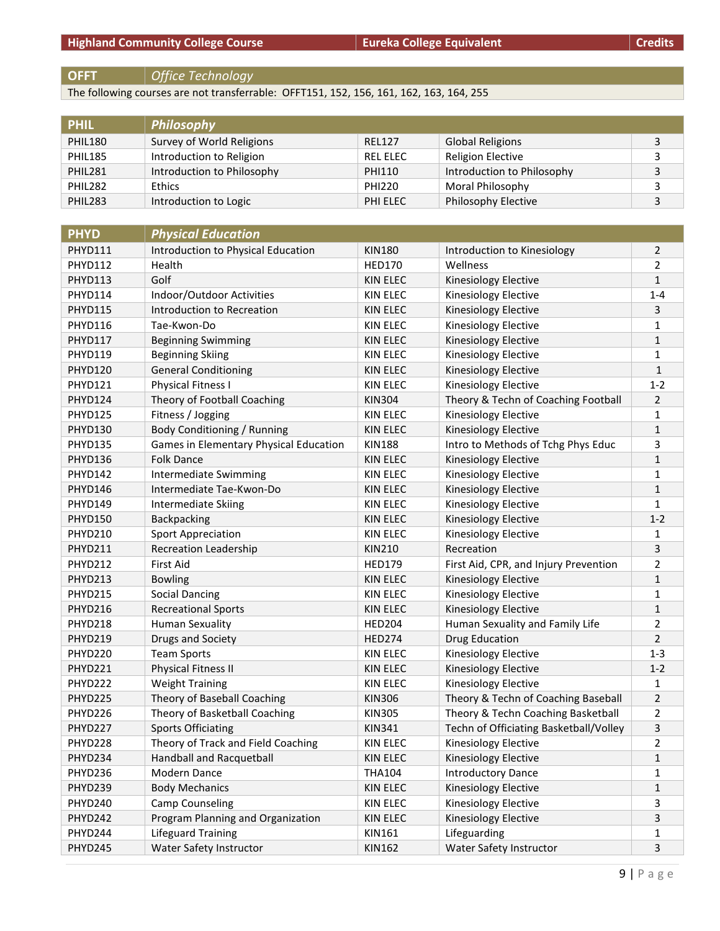## **OFFT** *Office Technology*

The following courses are not transferrable: OFFT151, 152, 156, 161, 162, 163, 164, 255

| <b>PHIL</b>    | Philosophy                 |                 |                            |  |
|----------------|----------------------------|-----------------|----------------------------|--|
| <b>PHIL180</b> | Survey of World Religions  | <b>REL127</b>   | <b>Global Religions</b>    |  |
| <b>PHIL185</b> | Introduction to Religion   | <b>REL ELEC</b> | <b>Religion Elective</b>   |  |
| <b>PHIL281</b> | Introduction to Philosophy | PHI110          | Introduction to Philosophy |  |
| <b>PHIL282</b> | <b>Ethics</b>              | <b>PHI220</b>   | Moral Philosophy           |  |
| <b>PHIL283</b> | Introduction to Logic      | PHI ELEC        | <b>Philosophy Elective</b> |  |

| <b>PHYD</b>    | <b>Physical Education</b>              |                 |                                        |                |
|----------------|----------------------------------------|-----------------|----------------------------------------|----------------|
| PHYD111        | Introduction to Physical Education     | <b>KIN180</b>   | Introduction to Kinesiology            | 2              |
| PHYD112        | Health                                 | <b>HED170</b>   | Wellness                               | 2              |
| <b>PHYD113</b> | Golf                                   | <b>KIN ELEC</b> | Kinesiology Elective                   | $\mathbf{1}$   |
| PHYD114        | Indoor/Outdoor Activities              | <b>KIN ELEC</b> | Kinesiology Elective                   | $1 - 4$        |
| <b>PHYD115</b> | Introduction to Recreation             | <b>KIN ELEC</b> | Kinesiology Elective                   | 3              |
| PHYD116        | Tae-Kwon-Do                            | <b>KIN ELEC</b> | Kinesiology Elective                   | 1              |
| <b>PHYD117</b> | <b>Beginning Swimming</b>              | <b>KIN ELEC</b> | Kinesiology Elective                   | 1              |
| <b>PHYD119</b> | <b>Beginning Skiing</b>                | <b>KIN ELEC</b> | Kinesiology Elective                   | 1              |
| <b>PHYD120</b> | <b>General Conditioning</b>            | <b>KIN ELEC</b> | Kinesiology Elective                   | $\mathbf{1}$   |
| <b>PHYD121</b> | <b>Physical Fitness I</b>              | <b>KIN ELEC</b> | Kinesiology Elective                   | $1 - 2$        |
| PHYD124        | Theory of Football Coaching            | <b>KIN304</b>   | Theory & Techn of Coaching Football    | 2              |
| PHYD125        | Fitness / Jogging                      | <b>KIN ELEC</b> | Kinesiology Elective                   | $\mathbf{1}$   |
| <b>PHYD130</b> | Body Conditioning / Running            | <b>KIN ELEC</b> | Kinesiology Elective                   | 1              |
| <b>PHYD135</b> | Games in Elementary Physical Education | <b>KIN188</b>   | Intro to Methods of Tchg Phys Educ     | 3              |
| PHYD136        | <b>Folk Dance</b>                      | <b>KIN ELEC</b> | Kinesiology Elective                   | 1              |
| PHYD142        | <b>Intermediate Swimming</b>           | <b>KIN ELEC</b> | Kinesiology Elective                   | 1              |
| PHYD146        | Intermediate Tae-Kwon-Do               | <b>KIN ELEC</b> | Kinesiology Elective                   | 1              |
| PHYD149        | Intermediate Skiing                    | KIN ELEC        | Kinesiology Elective                   | 1              |
| <b>PHYD150</b> | Backpacking                            | <b>KIN ELEC</b> | Kinesiology Elective                   | $1 - 2$        |
| <b>PHYD210</b> | <b>Sport Appreciation</b>              | <b>KIN ELEC</b> | Kinesiology Elective                   | 1              |
| PHYD211        | <b>Recreation Leadership</b>           | <b>KIN210</b>   | Recreation                             | 3              |
| PHYD212        | <b>First Aid</b>                       | <b>HED179</b>   | First Aid, CPR, and Injury Prevention  | 2              |
| PHYD213        | <b>Bowling</b>                         | <b>KIN ELEC</b> | Kinesiology Elective                   | $\mathbf{1}$   |
| PHYD215        | <b>Social Dancing</b>                  | <b>KIN ELEC</b> | Kinesiology Elective                   | 1              |
| PHYD216        | <b>Recreational Sports</b>             | <b>KIN ELEC</b> | Kinesiology Elective                   | 1              |
| PHYD218        | <b>Human Sexuality</b>                 | <b>HED204</b>   | Human Sexuality and Family Life        | 2              |
| PHYD219        | Drugs and Society                      | <b>HED274</b>   | <b>Drug Education</b>                  | $\overline{2}$ |
| PHYD220        | <b>Team Sports</b>                     | KIN ELEC        | Kinesiology Elective                   | $1 - 3$        |
| PHYD221        | <b>Physical Fitness II</b>             | <b>KIN ELEC</b> | Kinesiology Elective                   | $1 - 2$        |
| PHYD222        | <b>Weight Training</b>                 | <b>KIN ELEC</b> | Kinesiology Elective                   | 1              |
| PHYD225        | Theory of Baseball Coaching            | <b>KIN306</b>   | Theory & Techn of Coaching Baseball    | 2              |
| PHYD226        | Theory of Basketball Coaching          | <b>KIN305</b>   | Theory & Techn Coaching Basketball     | 2              |
| PHYD227        | <b>Sports Officiating</b>              | <b>KIN341</b>   | Techn of Officiating Basketball/Volley | 3              |
| PHYD228        | Theory of Track and Field Coaching     | <b>KIN ELEC</b> | Kinesiology Elective                   | 2              |
| PHYD234        | Handball and Racquetball               | KIN ELEC        | Kinesiology Elective                   | 1              |
| PHYD236        | Modern Dance                           | <b>THA104</b>   | <b>Introductory Dance</b>              | 1              |
| PHYD239        | <b>Body Mechanics</b>                  | KIN ELEC        | Kinesiology Elective                   | 1              |
| PHYD240        | Camp Counseling                        | KIN ELEC        | Kinesiology Elective                   | 3              |
| PHYD242        | Program Planning and Organization      | KIN ELEC        | Kinesiology Elective                   | 3              |
| PHYD244        | Lifeguard Training                     | KIN161          | Lifeguarding                           | 1              |
| PHYD245        | Water Safety Instructor                | KIN162          | Water Safety Instructor                | 3              |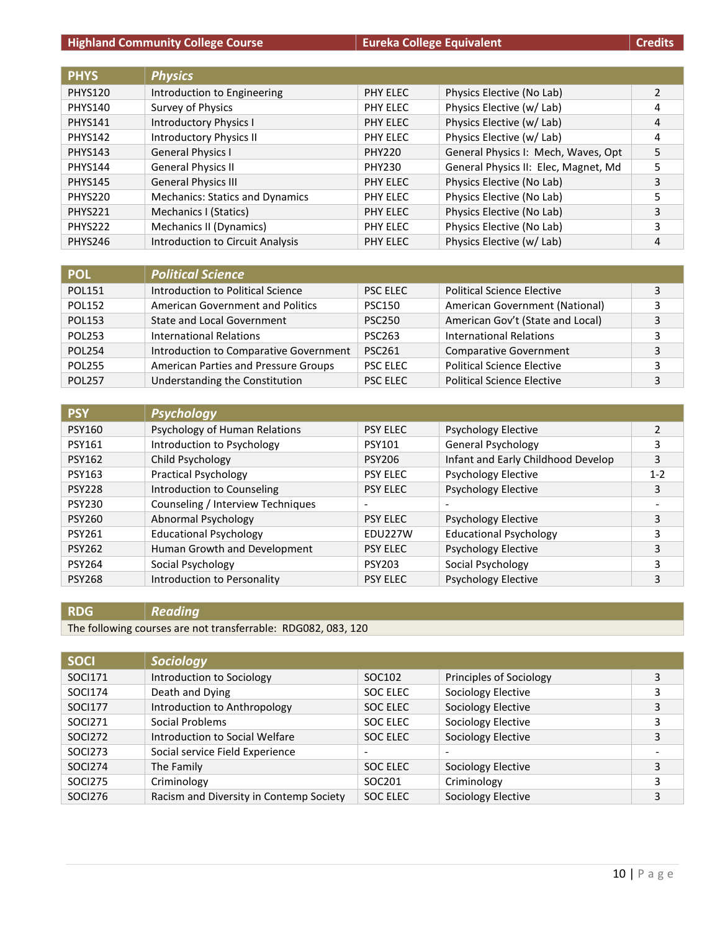#### **Highland Community College Course Eureka College Equivalent Eureka College Equivalent Credits**

| <b>PHYS</b>    | <b>Physics</b>                          |               |                                      |   |
|----------------|-----------------------------------------|---------------|--------------------------------------|---|
| <b>PHYS120</b> | Introduction to Engineering             | PHY ELEC      | Physics Elective (No Lab)            | 2 |
| <b>PHYS140</b> | Survey of Physics                       | PHY ELEC      | Physics Elective (w/ Lab)            | 4 |
| <b>PHYS141</b> | <b>Introductory Physics I</b>           | PHY ELEC      | Physics Elective (w/ Lab)            | 4 |
| <b>PHYS142</b> | Introductory Physics II                 | PHY ELEC      | Physics Elective (w/ Lab)            | 4 |
| <b>PHYS143</b> | <b>General Physics I</b>                | <b>PHY220</b> | General Physics I: Mech, Waves, Opt  | 5 |
| <b>PHYS144</b> | <b>General Physics II</b>               | <b>PHY230</b> | General Physics II: Elec, Magnet, Md | 5 |
| <b>PHYS145</b> | <b>General Physics III</b>              | PHY ELEC      | Physics Elective (No Lab)            | 3 |
| <b>PHYS220</b> | <b>Mechanics: Statics and Dynamics</b>  | PHY ELEC      | Physics Elective (No Lab)            | 5 |
| PHYS221        | Mechanics I (Statics)                   | PHY ELEC      | Physics Elective (No Lab)            | 3 |
| PHYS222        | Mechanics II (Dynamics)                 | PHY ELEC      | Physics Elective (No Lab)            | 3 |
| <b>PHYS246</b> | <b>Introduction to Circuit Analysis</b> | PHY ELEC      | Physics Elective (w/ Lab)            | 4 |

| <b>POL</b>    | <b>Political Science</b>                |                 |                                   |   |
|---------------|-----------------------------------------|-----------------|-----------------------------------|---|
| <b>POL151</b> | Introduction to Political Science       | <b>PSC ELEC</b> | <b>Political Science Elective</b> | 3 |
| <b>POL152</b> | <b>American Government and Politics</b> | <b>PSC150</b>   | American Government (National)    | 3 |
| <b>POL153</b> | <b>State and Local Government</b>       | <b>PSC250</b>   | American Gov't (State and Local)  | 3 |
| <b>POL253</b> | International Relations                 | <b>PSC263</b>   | <b>International Relations</b>    | 3 |
| <b>POL254</b> | Introduction to Comparative Government  | <b>PSC261</b>   | <b>Comparative Government</b>     | 3 |
| <b>POL255</b> | American Parties and Pressure Groups    | <b>PSC ELEC</b> | <b>Political Science Elective</b> | 3 |
| <b>POL257</b> | Understanding the Constitution          | <b>PSC ELEC</b> | <b>Political Science Elective</b> | 3 |

| <b>PSY</b>    | <b>Psychology</b>                 |                          |                                    |                |
|---------------|-----------------------------------|--------------------------|------------------------------------|----------------|
| <b>PSY160</b> | Psychology of Human Relations     | <b>PSY ELEC</b>          | <b>Psychology Elective</b>         | $\overline{2}$ |
| <b>PSY161</b> | Introduction to Psychology        | <b>PSY101</b>            | General Psychology                 | 3              |
| <b>PSY162</b> | Child Psychology                  | <b>PSY206</b>            | Infant and Early Childhood Develop | 3              |
| <b>PSY163</b> | <b>Practical Psychology</b>       | <b>PSY ELEC</b>          | <b>Psychology Elective</b>         | $1 - 2$        |
| <b>PSY228</b> | Introduction to Counseling        | <b>PSY ELEC</b>          | Psychology Elective                | 3              |
| <b>PSY230</b> | Counseling / Interview Techniques | $\overline{\phantom{a}}$ |                                    | -              |
| <b>PSY260</b> | Abnormal Psychology               | <b>PSY ELEC</b>          | <b>Psychology Elective</b>         | 3              |
| <b>PSY261</b> | <b>Educational Psychology</b>     | <b>EDU227W</b>           | <b>Educational Psychology</b>      | 3              |
| <b>PSY262</b> | Human Growth and Development      | <b>PSY ELEC</b>          | <b>Psychology Elective</b>         | 3              |
| <b>PSY264</b> | Social Psychology                 | <b>PSY203</b>            | Social Psychology                  | 3              |
| <b>PSY268</b> | Introduction to Personality       | <b>PSY ELEC</b>          | <b>Psychology Elective</b>         | 3              |

#### **RDG** *Reading*

The following courses are not transferrable: RDG082, 083, 120

| <b>SOCI</b>    | Sociology                               |                          |                          |   |
|----------------|-----------------------------------------|--------------------------|--------------------------|---|
| SOCI171        | Introduction to Sociology               | SOC102                   | Principles of Sociology  | 3 |
| SOCI174        | Death and Dying                         | SOC ELEC                 | Sociology Elective       | 3 |
| SOCI177        | Introduction to Anthropology            | SOC ELEC                 | Sociology Elective       | 3 |
| SOCI271        | Social Problems                         | SOC ELEC                 | Sociology Elective       | 3 |
| SOCI272        | Introduction to Social Welfare          | SOC ELEC                 | Sociology Elective       | 3 |
| SOCI273        | Social service Field Experience         | $\overline{\phantom{0}}$ | $\overline{\phantom{a}}$ |   |
| <b>SOCI274</b> | The Family                              | SOC ELEC                 | Sociology Elective       | 3 |
| <b>SOCI275</b> | Criminology                             | SOC201                   | Criminology              | 3 |
| <b>SOCI276</b> | Racism and Diversity in Contemp Society | SOC ELEC                 | Sociology Elective       | 3 |